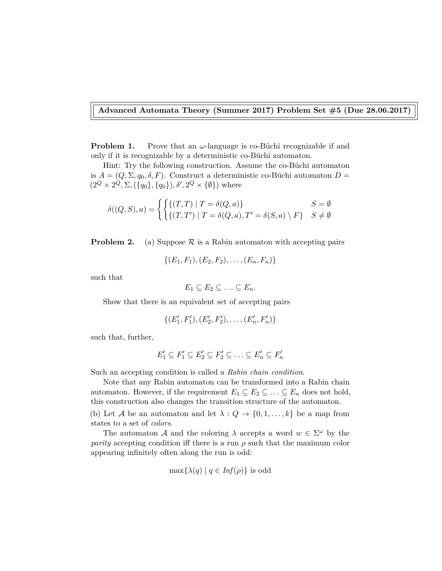## **Advanced Automata Theory (Summer 2017) Problem Set #5 (Due 28.06.2017)**

**Problem 1.** Prove that an *ω*-language is co-Büchi recognizable if and only if it is recognizable by a deterministic co-Büchi automaton.

Hint: Try the following construction. Assume the co-Büchi automaton is  $A = (Q, \Sigma, q_0, \delta, F)$ . Construct a deterministic co-Büchi automaton  $D =$  $(2^Q \times 2^Q, \Sigma, (\{q_0\}, \{q_0\}), \delta', 2^Q \times \{\emptyset\})$  where

$$
\delta((Q, S), a) = \begin{cases} \left\{ (T, T) \mid T = \delta(Q, a) \right\} & S = \emptyset \\ \left\{ (T, T') \mid T = \delta(Q, a), T' = \delta(S, a) \setminus F \right\} & S \neq \emptyset \end{cases}
$$

**Problem 2.** (a) Suppose  $\mathcal{R}$  is a Rabin automaton with accepting pairs

 $\{(E_1, F_1), (E_2, F_2), \ldots, (E_n, F_n)\}\$ 

such that

$$
E_1 \subseteq E_2 \subseteq \ldots \subseteq E_n.
$$

Show that there is an equivalent set of accepting pairs

$$
\{(E'_1, F'_1), (E'_2, F'_2), \dots, (E'_n, F'_n)\}
$$

such that, further,

$$
E'_1 \subseteq F'_1 \subseteq E'_2 \subseteq F'_2 \subseteq \ldots \subseteq E'_n \subseteq F'_n
$$

Such an accepting condition is called a *Rabin chain condition*.

Note that any Rabin automaton can be transformed into a Rabin chain automaton. However, if the requirement  $E_1 \subseteq E_2 \subseteq \ldots \subseteq E_n$  does not hold, this construction also changes the transition structure of the automaton.

(b) Let A be an automaton and let  $\lambda: Q \to \{0, 1, \ldots, k\}$  be a map from states to a set of *colors*.

The automaton A and the coloring  $\lambda$  accepts a word  $w \in \Sigma^{\omega}$  by the *parity* accepting condition iff there is a run  $\rho$  such that the maximum color appearing infinitely often along the run is odd:

$$
\max\{\lambda(q) | q \in \text{Inf}(\rho)\}\
$$
is odd